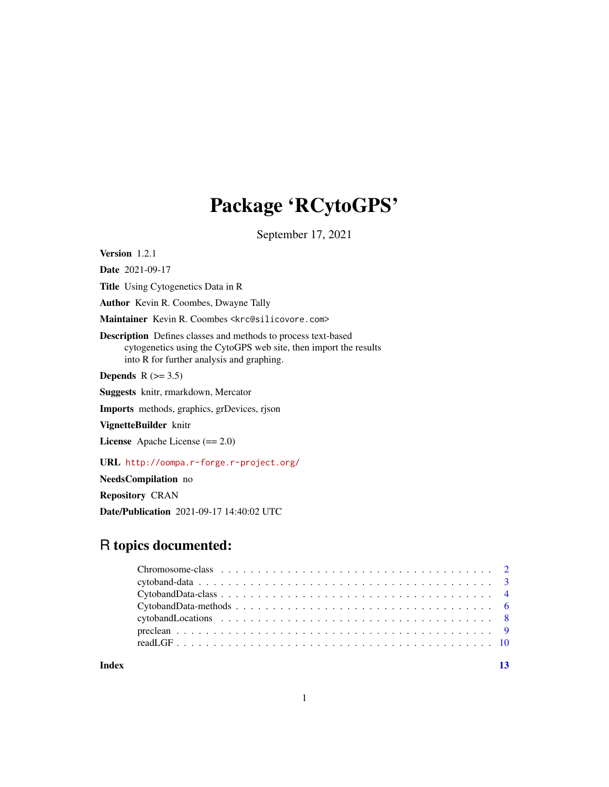## Package 'RCytoGPS'

September 17, 2021

<span id="page-0-0"></span>Version 1.2.1

Date 2021-09-17 Title Using Cytogenetics Data in R Author Kevin R. Coombes, Dwayne Tally Maintainer Kevin R. Coombes <krc@silicovore.com> Description Defines classes and methods to process text-based cytogenetics using the CytoGPS web site, then import the results into R for further analysis and graphing. Depends  $R$  ( $>= 3.5$ ) Suggests knitr, rmarkdown, Mercator Imports methods, graphics, grDevices, rjson VignetteBuilder knitr

License Apache License (== 2.0)

URL <http://oompa.r-forge.r-project.org/>

NeedsCompilation no

Repository CRAN

Date/Publication 2021-09-17 14:40:02 UTC

## R topics documented:

**Index** [13](#page-12-0)

1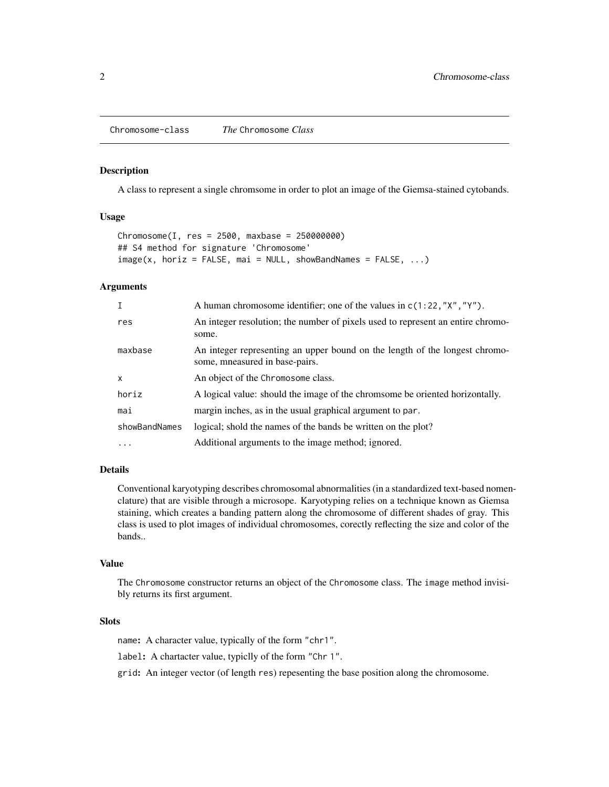#### <span id="page-1-0"></span>Description

A class to represent a single chromsome in order to plot an image of the Giemsa-stained cytobands.

## Usage

```
Chromosome(I, res = 2500, maxbase = 250000000)## S4 method for signature 'Chromosome'
image(x, horiz = FALSE, mai = NULL, showBandNames = FALSE, ...)
```
## **Arguments**

| $\mathsf{T}$  | A human chromosome identifier; one of the values in $c(1:22, "X", "Y")$ .                                     |
|---------------|---------------------------------------------------------------------------------------------------------------|
| res           | An integer resolution; the number of pixels used to represent an entire chromo-<br>some.                      |
| maxbase       | An integer representing an upper bound on the length of the longest chromo-<br>some, mneasured in base-pairs. |
| $\mathsf{x}$  | An object of the Chromosome class.                                                                            |
| horiz         | A logical value: should the image of the chromsome be oriented horizontally.                                  |
| mai           | margin inches, as in the usual graphical argument to par.                                                     |
| showBandNames | logical; shold the names of the bands be written on the plot?                                                 |
| $\cdots$      | Additional arguments to the image method; ignored.                                                            |

## Details

Conventional karyotyping describes chromosomal abnormalities (in a standardized text-based nomenclature) that are visible through a microsope. Karyotyping relies on a technique known as Giemsa staining, which creates a banding pattern along the chromosome of different shades of gray. This class is used to plot images of individual chromosomes, corectly reflecting the size and color of the bands..

#### Value

The Chromosome constructor returns an object of the Chromosome class. The image method invisibly returns its first argument.

#### **Slots**

name: A character value, typically of the form "chr1".

label: A chartacter value, typiclly of the form "Chr 1".

grid: An integer vector (of length res) repesenting the base position along the chromosome.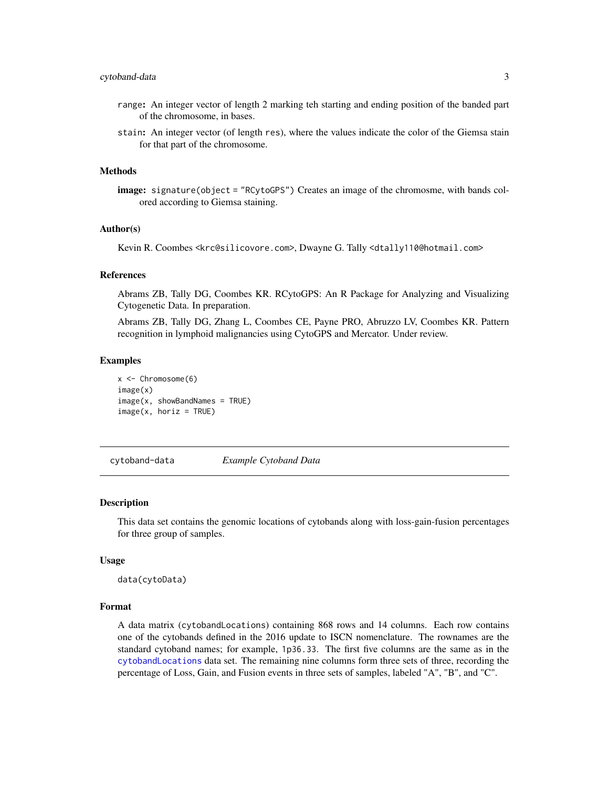## <span id="page-2-0"></span>cytoband-data 3

- range: An integer vector of length 2 marking teh starting and ending position of the banded part of the chromosome, in bases.
- stain: An integer vector (of length res), where the values indicate the color of the Giemsa stain for that part of the chromosome.

#### Methods

image: signature(object = "RCytoGPS") Creates an image of the chromosme, with bands colored according to Giemsa staining.

#### Author(s)

Kevin R. Coombes <krc@silicovore.com>, Dwayne G. Tally <dtally110@hotmail.com>

#### References

Abrams ZB, Tally DG, Coombes KR. RCytoGPS: An R Package for Analyzing and Visualizing Cytogenetic Data. In preparation.

Abrams ZB, Tally DG, Zhang L, Coombes CE, Payne PRO, Abruzzo LV, Coombes KR. Pattern recognition in lymphoid malignancies using CytoGPS and Mercator. Under review.

## Examples

```
x < - Chromosome(6)
image(x)
image(x, showBandNames = TRUE)image(x, horiz = TRUE)
```
cytoband-data *Example Cytoband Data*

#### **Description**

This data set contains the genomic locations of cytobands along with loss-gain-fusion percentages for three group of samples.

#### Usage

data(cytoData)

## Format

A data matrix (cytobandLocations) containing 868 rows and 14 columns. Each row contains one of the cytobands defined in the 2016 update to ISCN nomenclature. The rownames are the standard cytoband names; for example, 1p36.33. The first five columns are the same as in the [cytobandLocations](#page-7-1) data set. The remaining nine columns form three sets of three, recording the percentage of Loss, Gain, and Fusion events in three sets of samples, labeled "A", "B", and "C".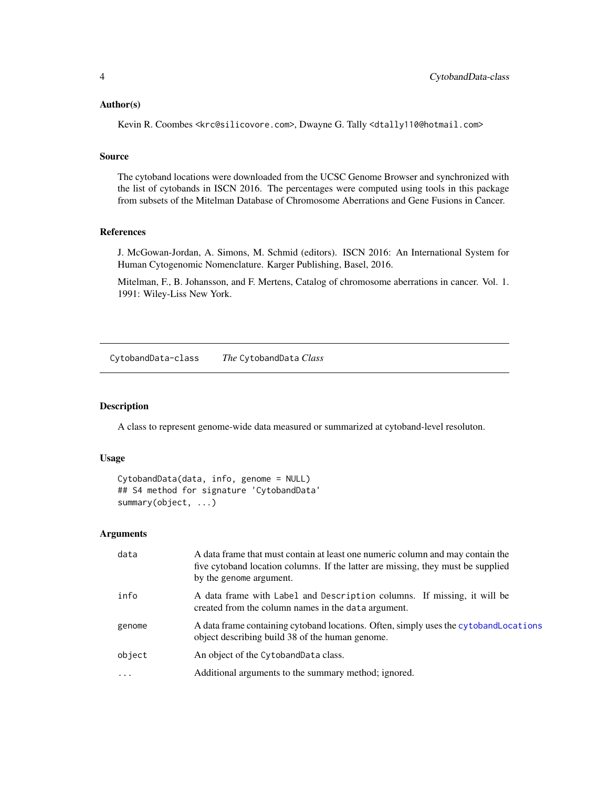## <span id="page-3-0"></span>Author(s)

Kevin R. Coombes <krc@silicovore.com>, Dwayne G. Tally <dtally110@hotmail.com>

#### Source

The cytoband locations were downloaded from the UCSC Genome Browser and synchronized with the list of cytobands in ISCN 2016. The percentages were computed using tools in this package from subsets of the Mitelman Database of Chromosome Aberrations and Gene Fusions in Cancer.

## References

J. McGowan-Jordan, A. Simons, M. Schmid (editors). ISCN 2016: An International System for Human Cytogenomic Nomenclature. Karger Publishing, Basel, 2016.

Mitelman, F., B. Johansson, and F. Mertens, Catalog of chromosome aberrations in cancer. Vol. 1. 1991: Wiley-Liss New York.

<span id="page-3-1"></span>CytobandData-class *The* CytobandData *Class*

## Description

A class to represent genome-wide data measured or summarized at cytoband-level resoluton.

## Usage

```
CytobandData(data, info, genome = NULL)
## S4 method for signature 'CytobandData'
summary(object, ...)
```
#### Arguments

| data    | A data frame that must contain at least one numeric column and may contain the<br>five cytoband location columns. If the latter are missing, they must be supplied<br>by the genome argument. |
|---------|-----------------------------------------------------------------------------------------------------------------------------------------------------------------------------------------------|
| info    | A data frame with Label and Description columns. If missing, it will be<br>created from the column names in the data argument.                                                                |
| genome  | A data frame containing cytoband locations. Often, simply uses the cytoband Locations<br>object describing build 38 of the human genome.                                                      |
| object  | An object of the CytobandData class.                                                                                                                                                          |
| $\cdot$ | Additional arguments to the summary method; ignored.                                                                                                                                          |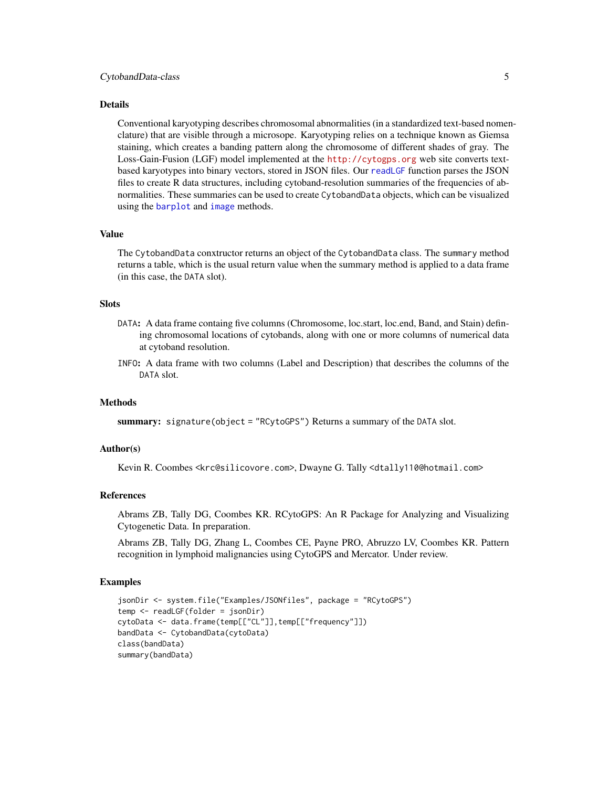#### <span id="page-4-0"></span>Details

Conventional karyotyping describes chromosomal abnormalities (in a standardized text-based nomenclature) that are visible through a microsope. Karyotyping relies on a technique known as Giemsa staining, which creates a banding pattern along the chromosome of different shades of gray. The Loss-Gain-Fusion (LGF) model implemented at the <http://cytogps.org> web site converts textbased karyotypes into binary vectors, stored in JSON files. Our [readLGF](#page-9-1) function parses the JSON files to create R data structures, including cytoband-resolution summaries of the frequencies of abnormalities. These summaries can be used to create CytobandData objects, which can be visualized using the [barplot](#page-0-0) and [image](#page-0-0) methods.

## Value

The CytobandData conxtructor returns an object of the CytobandData class. The summary method returns a table, which is the usual return value when the summary method is applied to a data frame (in this case, the DATA slot).

#### **Slots**

- DATA: A data frame containg five columns (Chromosome, loc.start, loc.end, Band, and Stain) defining chromosomal locations of cytobands, along with one or more columns of numerical data at cytoband resolution.
- INFO: A data frame with two columns (Label and Description) that describes the columns of the DATA slot.

#### **Methods**

summary: signature(object = "RCytoGPS") Returns a summary of the DATA slot.

## Author(s)

Kevin R. Coombes <krc@silicovore.com>, Dwayne G. Tally <dtally110@hotmail.com>

#### References

Abrams ZB, Tally DG, Coombes KR. RCytoGPS: An R Package for Analyzing and Visualizing Cytogenetic Data. In preparation.

Abrams ZB, Tally DG, Zhang L, Coombes CE, Payne PRO, Abruzzo LV, Coombes KR. Pattern recognition in lymphoid malignancies using CytoGPS and Mercator. Under review.

#### Examples

```
jsonDir <- system.file("Examples/JSONfiles", package = "RCytoGPS")
temp <- readLGF(folder = jsonDir)
cytoData <- data.frame(temp[["CL"]],temp[["frequency"]])
bandData <- CytobandData(cytoData)
class(bandData)
summary(bandData)
```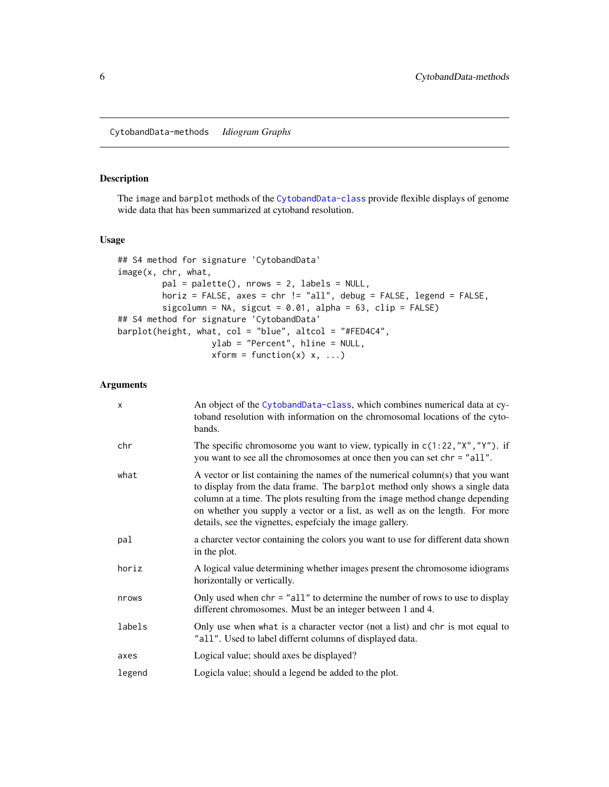<span id="page-5-0"></span>CytobandData-methods *Idiogram Graphs*

## Description

The image and barplot methods of the [CytobandData-class](#page-3-1) provide flexible displays of genome wide data that has been summarized at cytoband resolution.

## Usage

```
## S4 method for signature 'CytobandData'
image(x, chr, what,
        pal = palette(), nrows = 2, labels = NULL,
        horiz = FALSE, axes = chr != "all", debug = FALSE, legend = FALSE,
        sigcolumn = NA, sigcut = 0.01, alpha = 63, clip = FALSE)
## S4 method for signature 'CytobandData'
barplot(height, what, col = "blue", altcol = "#FED4C4",
                  ylab = "Percent", hline = NULL,
                  xform = function(x) x, ...
```
## Arguments

| $\mathsf{x}$ | An object of the CytobandData-class, which combines numerical data at cy-<br>toband resolution with information on the chromosomal locations of the cyto-<br>bands.                                                                                                                                                                                                                        |
|--------------|--------------------------------------------------------------------------------------------------------------------------------------------------------------------------------------------------------------------------------------------------------------------------------------------------------------------------------------------------------------------------------------------|
| chr          | The specific chromosome you want to view, typically in $c(1:22, "X", "Y")$ . if<br>you want to see all the chromosomes at once then you can set chr = "all".                                                                                                                                                                                                                               |
| what         | A vector or list containing the names of the numerical column(s) that you want<br>to display from the data frame. The barplot method only shows a single data<br>column at a time. The plots resulting from the image method change depending<br>on whether you supply a vector or a list, as well as on the length. For more<br>details, see the vignettes, espercialy the image gallery. |
| pal          | a charcter vector containing the colors you want to use for different data shown<br>in the plot.                                                                                                                                                                                                                                                                                           |
| horiz        | A logical value determining whether images present the chromosome idiograms<br>horizontally or vertically.                                                                                                                                                                                                                                                                                 |
| nrows        | Only used when $chr = "all"$ to determine the number of rows to use to display<br>different chromosomes. Must be an integer between 1 and 4.                                                                                                                                                                                                                                               |
| labels       | Only use when what is a character vector (not a list) and chr is mot equal to<br>"all". Used to label differnt columns of displayed data.                                                                                                                                                                                                                                                  |
| axes         | Logical value; should axes be displayed?                                                                                                                                                                                                                                                                                                                                                   |
| legend       | Logicla value; should a legend be added to the plot.                                                                                                                                                                                                                                                                                                                                       |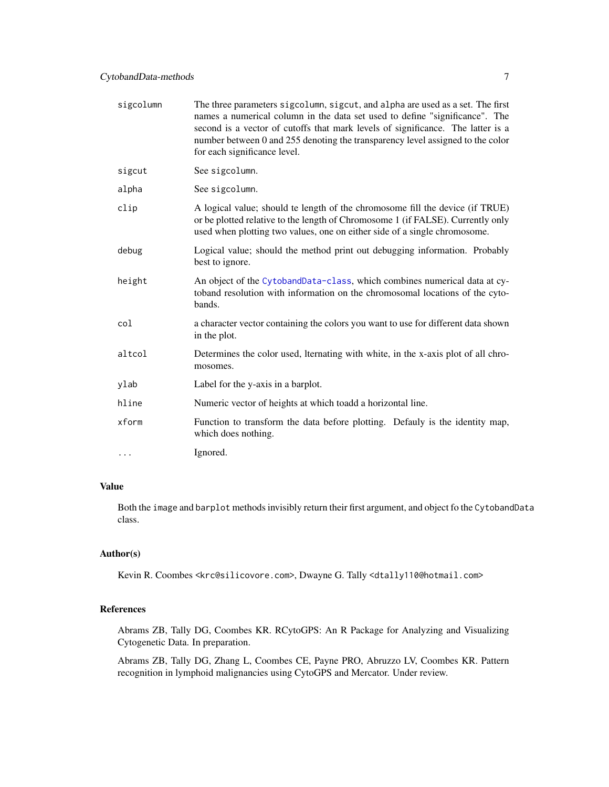| sigcolumn | The three parameters sigcolumn, sigcut, and alpha are used as a set. The first<br>names a numerical column in the data set used to define "significance". The<br>second is a vector of cutoffs that mark levels of significance. The latter is a<br>number between 0 and 255 denoting the transparency level assigned to the color<br>for each significance level. |
|-----------|--------------------------------------------------------------------------------------------------------------------------------------------------------------------------------------------------------------------------------------------------------------------------------------------------------------------------------------------------------------------|
| sigcut    | See sigcolumn.                                                                                                                                                                                                                                                                                                                                                     |
| alpha     | See sigcolumn.                                                                                                                                                                                                                                                                                                                                                     |
| clip      | A logical value; should te length of the chromosome fill the device (if TRUE)<br>or be plotted relative to the length of Chromosome 1 (if FALSE). Currently only<br>used when plotting two values, one on either side of a single chromosome.                                                                                                                      |
| debug     | Logical value; should the method print out debugging information. Probably<br>best to ignore.                                                                                                                                                                                                                                                                      |
| height    | An object of the CytobandData-class, which combines numerical data at cy-<br>toband resolution with information on the chromosomal locations of the cyto-<br>bands.                                                                                                                                                                                                |
| col       | a character vector containing the colors you want to use for different data shown<br>in the plot.                                                                                                                                                                                                                                                                  |
| altcol    | Determines the color used, Iternating with white, in the x-axis plot of all chro-<br>mosomes.                                                                                                                                                                                                                                                                      |
| ylab      | Label for the y-axis in a barplot.                                                                                                                                                                                                                                                                                                                                 |
| hline     | Numeric vector of heights at which toadd a horizontal line.                                                                                                                                                                                                                                                                                                        |
| xform     | Function to transform the data before plotting. Defauly is the identity map,<br>which does nothing.                                                                                                                                                                                                                                                                |
| .         | Ignored.                                                                                                                                                                                                                                                                                                                                                           |

## Value

Both the image and barplot methods invisibly return their first argument, and object fo the CytobandData class.

## Author(s)

Kevin R. Coombes <krc@silicovore.com>, Dwayne G. Tally <dtally110@hotmail.com>

## References

Abrams ZB, Tally DG, Coombes KR. RCytoGPS: An R Package for Analyzing and Visualizing Cytogenetic Data. In preparation.

Abrams ZB, Tally DG, Zhang L, Coombes CE, Payne PRO, Abruzzo LV, Coombes KR. Pattern recognition in lymphoid malignancies using CytoGPS and Mercator. Under review.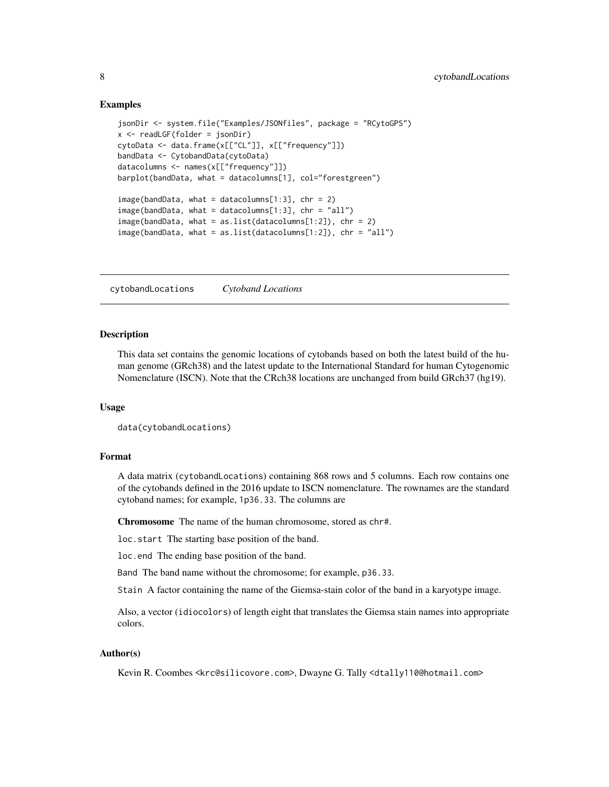## Examples

```
jsonDir <- system.file("Examples/JSONfiles", package = "RCytoGPS")
x \le readLGF(folder = jsonDir)
cytoData <- data.frame(x[["CL"]], x[["frequency"]])
bandData <- CytobandData(cytoData)
datacolumns <- names(x[["frequency"]])
barplot(bandData, what = datacolumns[1], col="forestgreen")
image(bandData, what = datacolumns[1:3], chr = 2)image(bandData, what = datacolumns[1:3], chr = "all")image(bandData, what = as.list(datacolumns[1:2]), chr = 2)
image(bandData, what = as.list(datacolumns[1:2]), chr = "all")
```
<span id="page-7-1"></span>cytobandLocations *Cytoband Locations*

## **Description**

This data set contains the genomic locations of cytobands based on both the latest build of the human genome (GRch38) and the latest update to the International Standard for human Cytogenomic Nomenclature (ISCN). Note that the CRch38 locations are unchanged from build GRch37 (hg19).

## Usage

```
data(cytobandLocations)
```
## Format

A data matrix (cytobandLocations) containing 868 rows and 5 columns. Each row contains one of the cytobands defined in the 2016 update to ISCN nomenclature. The rownames are the standard cytoband names; for example, 1p36.33. The columns are

Chromosome The name of the human chromosome, stored as chr#.

loc.start The starting base position of the band.

loc.end The ending base position of the band.

Band The band name without the chromosome; for example, p36.33.

Stain A factor containing the name of the Giemsa-stain color of the band in a karyotype image.

Also, a vector (idiocolors) of length eight that translates the Giemsa stain names into appropriate colors.

## Author(s)

Kevin R. Coombes <krc@silicovore.com>, Dwayne G. Tally <dtally110@hotmail.com>

<span id="page-7-0"></span>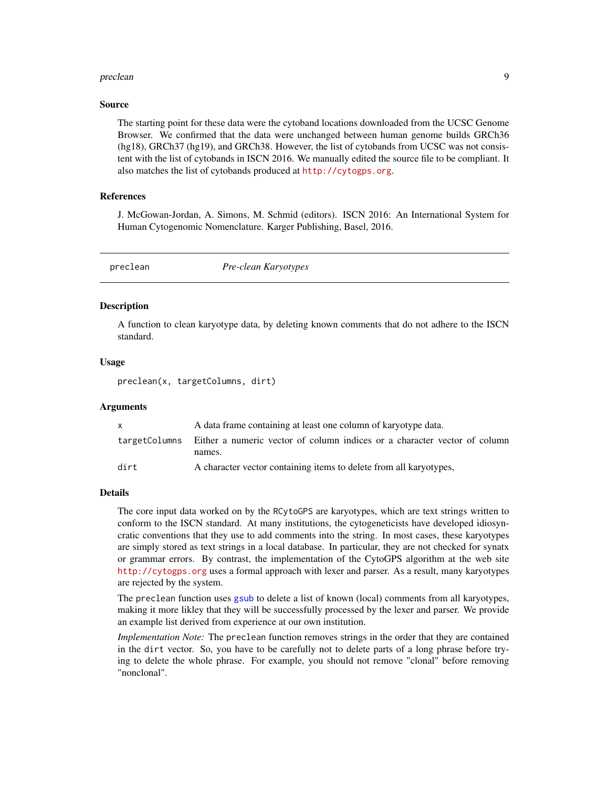#### <span id="page-8-0"></span>preclean 9

## Source

The starting point for these data were the cytoband locations downloaded from the UCSC Genome Browser. We confirmed that the data were unchanged between human genome builds GRCh36 (hg18), GRCh37 (hg19), and GRCh38. However, the list of cytobands from UCSC was not consistent with the list of cytobands in ISCN 2016. We manually edited the source file to be compliant. It also matches the list of cytobands produced at <http://cytogps.org>.

## References

J. McGowan-Jordan, A. Simons, M. Schmid (editors). ISCN 2016: An International System for Human Cytogenomic Nomenclature. Karger Publishing, Basel, 2016.

preclean *Pre-clean Karyotypes*

## Description

A function to clean karyotype data, by deleting known comments that do not adhere to the ISCN standard.

## Usage

preclean(x, targetColumns, dirt)

#### Arguments

|      | A data frame containing at least one column of karyotype data.                           |
|------|------------------------------------------------------------------------------------------|
|      | target Columns Either a numeric vector of column indices or a character vector of column |
|      | names.                                                                                   |
| dirt | A character vector containing items to delete from all karyotypes,                       |

#### Details

The core input data worked on by the RCytoGPS are karyotypes, which are text strings written to conform to the ISCN standard. At many institutions, the cytogeneticists have developed idiosyncratic conventions that they use to add comments into the string. In most cases, these karyotypes are simply stored as text strings in a local database. In particular, they are not checked for synatx or grammar errors. By contrast, the implementation of the CytoGPS algorithm at the web site <http://cytogps.org> uses a formal approach with lexer and parser. As a result, many karyotypes are rejected by the system.

The preclean function uses [gsub](#page-0-0) to delete a list of known (local) comments from all karyotypes, making it more likley that they will be successfully processed by the lexer and parser. We provide an example list derived from experience at our own institution.

*Implementation Note:* The preclean function removes strings in the order that they are contained in the dirt vector. So, you have to be carefully not to delete parts of a long phrase before trying to delete the whole phrase. For example, you should not remove "clonal" before removing "nonclonal".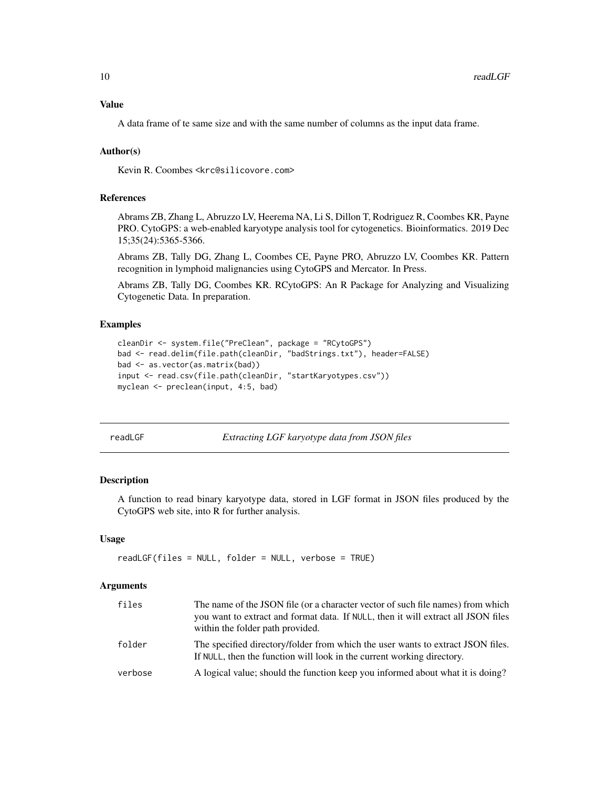## <span id="page-9-0"></span>Value

A data frame of te same size and with the same number of columns as the input data frame.

## Author(s)

Kevin R. Coombes <krc@silicovore.com>

## References

Abrams ZB, Zhang L, Abruzzo LV, Heerema NA, Li S, Dillon T, Rodriguez R, Coombes KR, Payne PRO. CytoGPS: a web-enabled karyotype analysis tool for cytogenetics. Bioinformatics. 2019 Dec 15;35(24):5365-5366.

Abrams ZB, Tally DG, Zhang L, Coombes CE, Payne PRO, Abruzzo LV, Coombes KR. Pattern recognition in lymphoid malignancies using CytoGPS and Mercator. In Press.

Abrams ZB, Tally DG, Coombes KR. RCytoGPS: An R Package for Analyzing and Visualizing Cytogenetic Data. In preparation.

## Examples

```
cleanDir <- system.file("PreClean", package = "RCytoGPS")
bad <- read.delim(file.path(cleanDir, "badStrings.txt"), header=FALSE)
bad <- as.vector(as.matrix(bad))
input <- read.csv(file.path(cleanDir, "startKaryotypes.csv"))
myclean <- preclean(input, 4:5, bad)
```
<span id="page-9-1"></span>

readLGF *Extracting LGF karyotype data from JSON files*

## Description

A function to read binary karyotype data, stored in LGF format in JSON files produced by the CytoGPS web site, into R for further analysis.

## Usage

```
readLGF(files = NULL, folder = NULL, verbose = TRUE)
```
## Arguments

| files   | The name of the JSON file (or a character vector of such file names) from which<br>you want to extract and format data. If NULL, then it will extract all JSON files<br>within the folder path provided. |
|---------|----------------------------------------------------------------------------------------------------------------------------------------------------------------------------------------------------------|
| folder  | The specified directory/folder from which the user wants to extract JSON files.<br>If NULL, then the function will look in the current working directory.                                                |
| verbose | A logical value; should the function keep you informed about what it is doing?                                                                                                                           |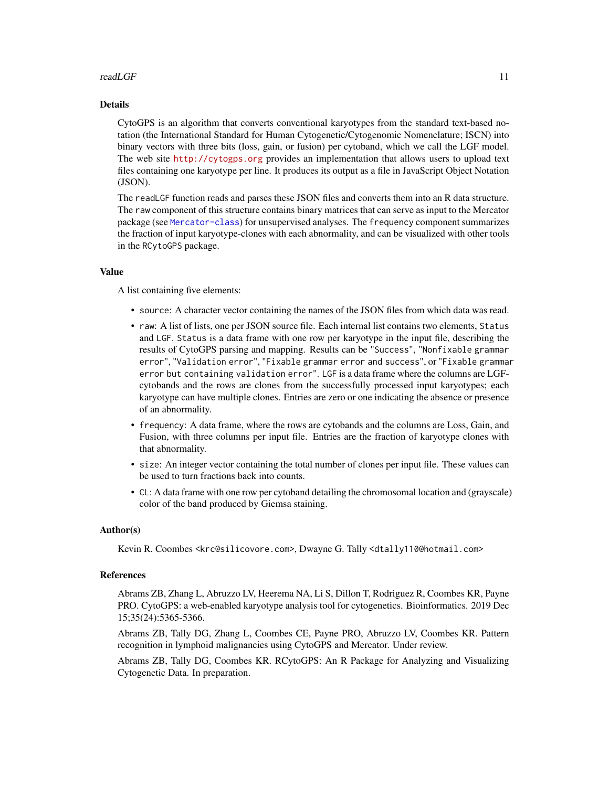## $read LGF$  11

## Details

CytoGPS is an algorithm that converts conventional karyotypes from the standard text-based notation (the International Standard for Human Cytogenetic/Cytogenomic Nomenclature; ISCN) into binary vectors with three bits (loss, gain, or fusion) per cytoband, which we call the LGF model. The web site <http://cytogps.org> provides an implementation that allows users to upload text files containing one karyotype per line. It produces its output as a file in JavaScript Object Notation (JSON).

The readLGF function reads and parses these JSON files and converts them into an R data structure. The raw component of this structure contains binary matrices that can serve as input to the Mercator package (see [Mercator-class](#page-0-0)) for unsupervised analyses. The frequency component summarizes the fraction of input karyotype-clones with each abnormality, and can be visualized with other tools in the RCytoGPS package.

#### Value

A list containing five elements:

- source: A character vector containing the names of the JSON files from which data was read.
- raw: A list of lists, one per JSON source file. Each internal list contains two elements, Status and LGF. Status is a data frame with one row per karyotype in the input file, describing the results of CytoGPS parsing and mapping. Results can be "Success", "Nonfixable grammar error", "Validation error", "Fixable grammar error and success", or "Fixable grammar error but containing validation error". LGF is a data frame where the columns are LGFcytobands and the rows are clones from the successfully processed input karyotypes; each karyotype can have multiple clones. Entries are zero or one indicating the absence or presence of an abnormality.
- frequency: A data frame, where the rows are cytobands and the columns are Loss, Gain, and Fusion, with three columns per input file. Entries are the fraction of karyotype clones with that abnormality.
- size: An integer vector containing the total number of clones per input file. These values can be used to turn fractions back into counts.
- CL: A data frame with one row per cytoband detailing the chromosomal location and (grayscale) color of the band produced by Giemsa staining.

## Author(s)

Kevin R. Coombes <krc@silicovore.com>, Dwayne G. Tally <dtally110@hotmail.com>

## References

Abrams ZB, Zhang L, Abruzzo LV, Heerema NA, Li S, Dillon T, Rodriguez R, Coombes KR, Payne PRO. CytoGPS: a web-enabled karyotype analysis tool for cytogenetics. Bioinformatics. 2019 Dec 15;35(24):5365-5366.

Abrams ZB, Tally DG, Zhang L, Coombes CE, Payne PRO, Abruzzo LV, Coombes KR. Pattern recognition in lymphoid malignancies using CytoGPS and Mercator. Under review.

Abrams ZB, Tally DG, Coombes KR. RCytoGPS: An R Package for Analyzing and Visualizing Cytogenetic Data. In preparation.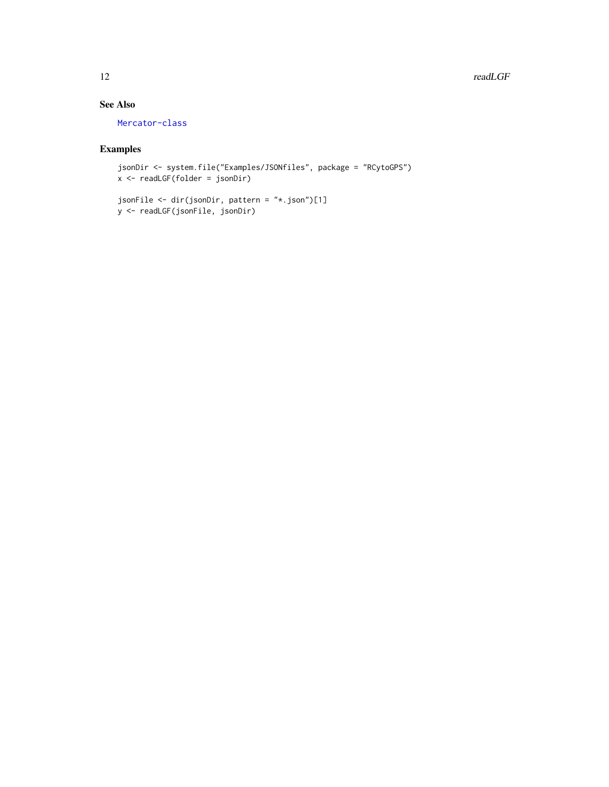#### 12 readLGF

## See Also

[Mercator-class](#page-0-0)

## Examples

```
jsonDir <- system.file("Examples/JSONfiles", package = "RCytoGPS")
x <- readLGF(folder = jsonDir)
```

```
jsonFile <- dir(jsonDir, pattern = "*.json")[1]
y <- readLGF(jsonFile, jsonDir)
```